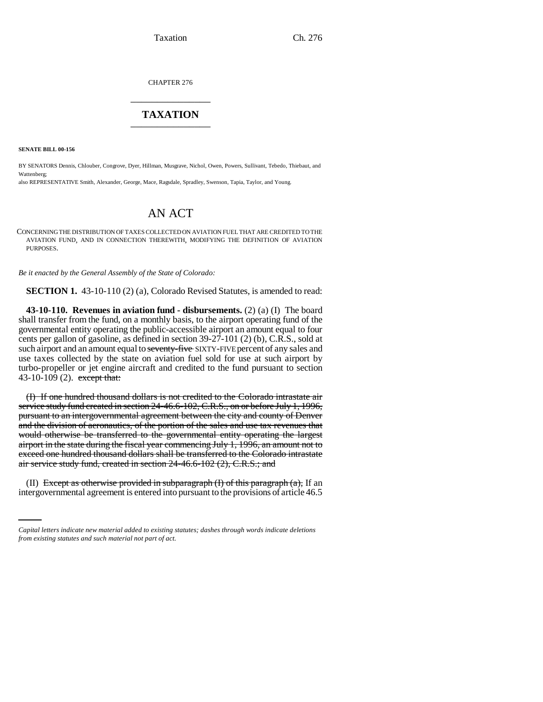CHAPTER 276 \_\_\_\_\_\_\_\_\_\_\_\_\_\_\_

## **TAXATION** \_\_\_\_\_\_\_\_\_\_\_\_\_\_\_

**SENATE BILL 00-156**

BY SENATORS Dennis, Chlouber, Congrove, Dyer, Hillman, Musgrave, Nichol, Owen, Powers, Sullivant, Tebedo, Thiebaut, and Wattenberg;

also REPRESENTATIVE Smith, Alexander, George, Mace, Ragsdale, Spradley, Swenson, Tapia, Taylor, and Young.

## AN ACT

CONCERNING THE DISTRIBUTION OF TAXES COLLECTED ON AVIATION FUEL THAT ARE CREDITED TO THE AVIATION FUND, AND IN CONNECTION THEREWITH, MODIFYING THE DEFINITION OF AVIATION PURPOSES.

*Be it enacted by the General Assembly of the State of Colorado:*

**SECTION 1.** 43-10-110 (2) (a), Colorado Revised Statutes, is amended to read:

**43-10-110. Revenues in aviation fund - disbursements.** (2) (a) (I) The board shall transfer from the fund, on a monthly basis, to the airport operating fund of the governmental entity operating the public-accessible airport an amount equal to four cents per gallon of gasoline, as defined in section 39-27-101 (2) (b), C.R.S., sold at such airport and an amount equal to seventy-five SIXTY-FIVE percent of any sales and use taxes collected by the state on aviation fuel sold for use at such airport by turbo-propeller or jet engine aircraft and credited to the fund pursuant to section 43-10-109 (2). except that:

(I) If one hundred thousand dollars is not credited to the Colorado intrastate air service study fund created in section 24-46.6-102, C.R.S., on or before July 1, 1996, pursuant to an intergovernmental agreement between the city and county of Denver and the division of aeronautics, of the portion of the sales and use tax revenues that would otherwise be transferred to the governmental entity operating the largest airport in the state during the fiscal year commencing July 1, 1996, an amount not to exceed one hundred thousand dollars shall be transferred to the Colorado intrastate air service study fund, created in section 24-46.6-102 (2), C.R.S.; and

 (II) Except as otherwise provided in subparagraph  $(I)$  of this paragraph  $(a)$ , If an intergovernmental agreement is entered into pursuant to the provisions of article 46.5

*Capital letters indicate new material added to existing statutes; dashes through words indicate deletions from existing statutes and such material not part of act.*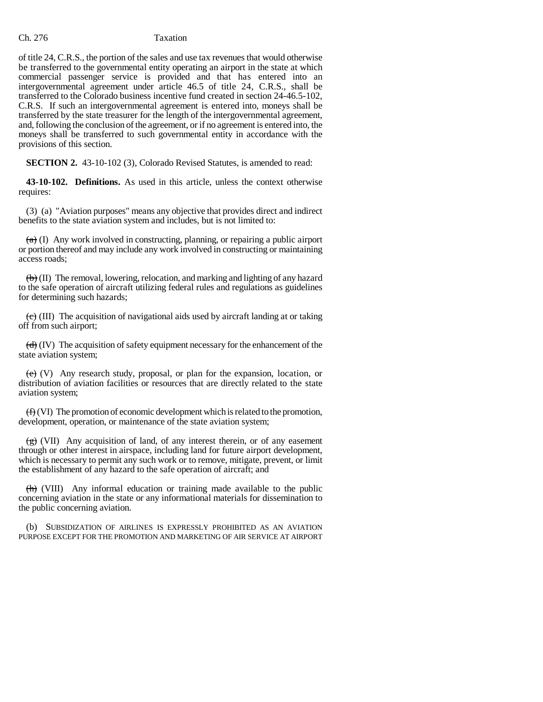## Ch. 276 Taxation

of title 24, C.R.S., the portion of the sales and use tax revenues that would otherwise be transferred to the governmental entity operating an airport in the state at which commercial passenger service is provided and that has entered into an intergovernmental agreement under article 46.5 of title 24, C.R.S., shall be transferred to the Colorado business incentive fund created in section 24-46.5-102, C.R.S. If such an intergovernmental agreement is entered into, moneys shall be transferred by the state treasurer for the length of the intergovernmental agreement, and, following the conclusion of the agreement, or if no agreement is entered into, the moneys shall be transferred to such governmental entity in accordance with the provisions of this section.

**SECTION 2.** 43-10-102 (3), Colorado Revised Statutes, is amended to read:

**43-10-102. Definitions.** As used in this article, unless the context otherwise requires:

(3) (a) "Aviation purposes" means any objective that provides direct and indirect benefits to the state aviation system and includes, but is not limited to:

 $(a)$  (I) Any work involved in constructing, planning, or repairing a public airport or portion thereof and may include any work involved in constructing or maintaining access roads;

 $\left(\frac{b}{b}\right)$  (II) The removal, lowering, relocation, and marking and lighting of any hazard to the safe operation of aircraft utilizing federal rules and regulations as guidelines for determining such hazards;

 $\left(\frac{\overline{c}}{\overline{c}}\right)$  (III) The acquisition of navigational aids used by aircraft landing at or taking off from such airport;

 $\left(\frac{d}{d}\right)$  (IV) The acquisition of safety equipment necessary for the enhancement of the state aviation system;

 $(e)$  (V) Any research study, proposal, or plan for the expansion, location, or distribution of aviation facilities or resources that are directly related to the state aviation system;

 $(f)$  (VI) The promotion of economic development which is related to the promotion, development, operation, or maintenance of the state aviation system;

 $\frac{f(x)}{g(x)}$  (VII) Any acquisition of land, of any interest therein, or of any easement through or other interest in airspace, including land for future airport development, which is necessary to permit any such work or to remove, mitigate, prevent, or limit the establishment of any hazard to the safe operation of aircraft; and

 $\langle \overrightarrow{h} \rangle$  (VIII) Any informal education or training made available to the public concerning aviation in the state or any informational materials for dissemination to the public concerning aviation.

(b) SUBSIDIZATION OF AIRLINES IS EXPRESSLY PROHIBITED AS AN AVIATION PURPOSE EXCEPT FOR THE PROMOTION AND MARKETING OF AIR SERVICE AT AIRPORT